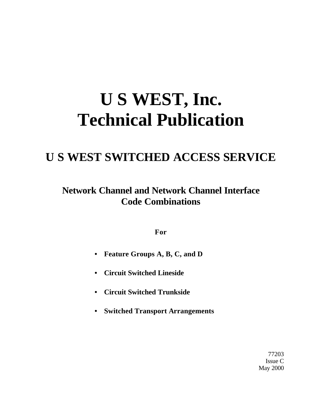# **U S WEST, Inc. Technical Publication**

# **U S WEST SWITCHED ACCESS SERVICE**

## **Network Channel and Network Channel Interface Code Combinations**

**For**

- **• Feature Groups A, B, C, and D**
- **• Circuit Switched Lineside**
- **• Circuit Switched Trunkside**
- **• Switched Transport Arrangements**

77203 Issue C May 2000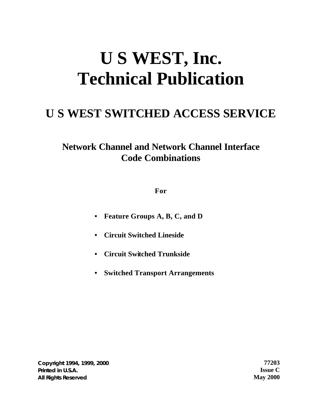# **U S WEST, Inc. Technical Publication**

# **U S WEST SWITCHED ACCESS SERVICE**

## **Network Channel and Network Channel Interface Code Combinations**

**For**

- **• Feature Groups A, B, C, and D**
- **• Circuit Switched Lineside**
- **• Circuit Switched Trunkside**
- **• Switched Transport Arrangements**

**Copyright 1994, 1999, 2000 77203 Printed in U.S.A. Issue C All Rights Reserved May 2000**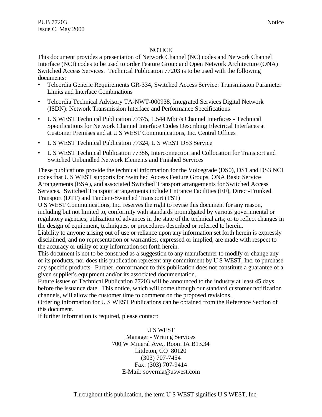#### **NOTICE**

This document provides a presentation of Network Channel (NC) codes and Network Channel Interface (NCI) codes to be used to order Feature Group and Open Network Architecture (ONA) Switched Access Services. Technical Publication 77203 is to be used with the following documents:

- Telcordia Generic Requirements GR-334, Switched Access Service: Transmission Parameter Limits and Interface Combinations
- Telcordia Technical Advisory TA-NWT-000938, Integrated Services Digital Network (ISDN): Network Transmission Interface and Performance Specifications
- U S WEST Technical Publication 77375, 1.544 Mbit/s Channel Interfaces Technical Specifications for Network Channel Interface Codes Describing Electrical Interfaces at Customer Premises and at U S WEST Communications, Inc. Central Offices
- U S WEST Technical Publication 77324, U S WEST DS3 Service
- U S WEST Technical Publication 77386, Interconnection and Collocation for Transport and Switched Unbundled Network Elements and Finished Services

These publications provide the technical information for the Voicegrade (DS0), DS1 and DS3 NCI codes that U S WEST supports for Switched Access Feature Groups, ONA Basic Service Arrangements (BSA), and associated Switched Transport arrangements for Switched Access Services. Switched Transport arrangements include Entrance Facilities (EF), Direct-Trunked Transport (DTT) and Tandem-Switched Transport (TST)

U S WEST Communications, Inc. reserves the right to revise this document for any reason, including but not limited to, conformity with standards promulgated by various governmental or regulatory agencies; utilization of advances in the state of the technical arts; or to reflect changes in the design of equipment, techniques, or procedures described or referred to herein.

Liability to anyone arising out of use or reliance upon any information set forth herein is expressly disclaimed, and no representation or warranties, expressed or implied, are made with respect to the accuracy or utility of any information set forth herein.

This document is not to be construed as a suggestion to any manufacturer to modify or change any of its products, nor does this publication represent any commitment by U S WEST, Inc. to purchase any specific products. Further, conformance to this publication does not constitute a guarantee of a given supplier's equipment and/or its associated documentation.

Future issues of Technical Publication 77203 will be announced to the industry at least 45 days before the issuance date. This notice, which will come through our standard customer notification channels, will allow the customer time to comment on the proposed revisions.

Ordering information for U S WEST Publications can be obtained from the Reference Section of this document.

If further information is required, please contact:

U S WEST Manager - Writing Services 700 W Mineral Ave., Room IA B13.34 Littleton, CO 80120 (303) 707-7454 Fax: (303) 707-9414 E-Mail: soverma@uswest.com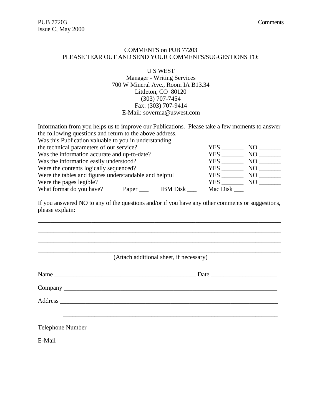#### COMMENTS on PUB 77203 PLEASE TEAR OUT AND SEND YOUR COMMENTS/SUGGESTIONS TO:

U S WEST Manager - Writing Services 700 W Mineral Ave., Room IA B13.34 Littleton, CO 80120 (303) 707-7454 Fax: (303) 707-9414 E-Mail: soverma@uswest.com

| Information from you helps us to improve our Publications. Please take a few moments to answer |          |                |
|------------------------------------------------------------------------------------------------|----------|----------------|
| the following questions and return to the above address.                                       |          |                |
| Was this Publication valuable to you in understanding                                          |          |                |
| the technical parameters of our service?                                                       | YES      | NO.            |
| Was the information accurate and up-to-date?                                                   | YES      | NO             |
| Was the information easily understood?                                                         | YES      | N <sub>O</sub> |
| Were the contents logically sequenced?                                                         | YES      | N <sub>O</sub> |
| Were the tables and figures understandable and helpful                                         | YES.     | NO             |
| Were the pages legible?                                                                        | YES.     | NO.            |
| What format do you have?<br><b>IBM</b> Disk<br>Paper                                           | Mac Disk |                |

If you answered NO to any of the questions and/or if you have any other comments or suggestions, please explain:

\_\_\_\_\_\_\_\_\_\_\_\_\_\_\_\_\_\_\_\_\_\_\_\_\_\_\_\_\_\_\_\_\_\_\_\_\_\_\_\_\_\_\_\_\_\_\_\_\_\_\_\_\_\_\_\_\_\_\_\_\_\_\_\_\_\_\_\_\_\_\_\_\_\_\_\_\_ \_\_\_\_\_\_\_\_\_\_\_\_\_\_\_\_\_\_\_\_\_\_\_\_\_\_\_\_\_\_\_\_\_\_\_\_\_\_\_\_\_\_\_\_\_\_\_\_\_\_\_\_\_\_\_\_\_\_\_\_\_\_\_\_\_\_\_\_\_\_\_\_\_\_\_\_\_ \_\_\_\_\_\_\_\_\_\_\_\_\_\_\_\_\_\_\_\_\_\_\_\_\_\_\_\_\_\_\_\_\_\_\_\_\_\_\_\_\_\_\_\_\_\_\_\_\_\_\_\_\_\_\_\_\_\_\_\_\_\_\_\_\_\_\_\_\_\_\_\_\_\_\_\_\_

\_\_\_\_\_\_\_\_\_\_\_\_\_\_\_\_\_\_\_\_\_\_\_\_\_\_\_\_\_\_\_\_\_\_\_\_\_\_\_\_\_\_\_\_\_\_\_\_\_\_\_\_\_\_\_\_\_\_\_\_\_\_\_\_\_\_\_\_\_\_\_\_\_\_\_\_\_ (Attach additional sheet, if necessary)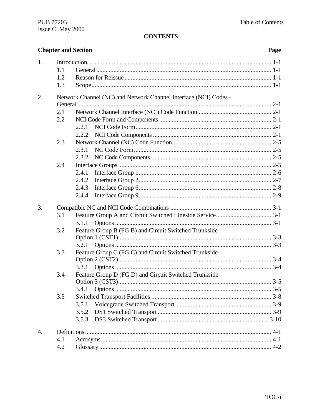#### **CONTENTS**

|    |     | <b>Chapter and Section</b>                                       | Page |
|----|-----|------------------------------------------------------------------|------|
| 1. |     |                                                                  |      |
|    | 1.1 |                                                                  |      |
|    | 1.2 |                                                                  |      |
|    | 1.3 |                                                                  |      |
| 2. |     | Network Channel (NC) and Network Channel Interface (NCI) Codes - |      |
|    |     |                                                                  |      |
|    | 2.1 |                                                                  |      |
|    | 2.2 |                                                                  |      |
|    |     | 2.2.1                                                            |      |
|    |     | 2.2.2                                                            |      |
|    | 2.3 |                                                                  |      |
|    |     | 2.3.1                                                            |      |
|    |     | 2.3.2                                                            |      |
|    | 2.4 |                                                                  |      |
|    |     | 2.4.1                                                            |      |
|    |     | 2.4.2                                                            |      |
|    |     | 2.4.3                                                            |      |
|    |     | 2.4.4                                                            |      |
| 3. |     |                                                                  |      |
|    | 3.1 |                                                                  |      |
|    |     |                                                                  |      |
|    | 3.2 | Feature Group B (FG B) and Circuit Switched Trunkside            |      |
|    |     |                                                                  |      |
|    |     |                                                                  |      |
|    | 3.3 | Feature Group C (FG C) and Circuit Switched Trunkside            |      |
|    |     |                                                                  |      |
|    |     |                                                                  |      |
|    | 3.4 | Feature Group D (FG D) and Circuit Switched Trunkside            |      |
|    |     |                                                                  |      |
|    |     | 3.4.1                                                            |      |
|    | 3.5 |                                                                  |      |
|    |     | 3.5.1                                                            |      |
|    |     | 3.5.2                                                            |      |
|    |     | 3.5.3                                                            |      |
| 4. |     |                                                                  |      |
|    | 4.1 |                                                                  |      |
|    | 4.2 |                                                                  |      |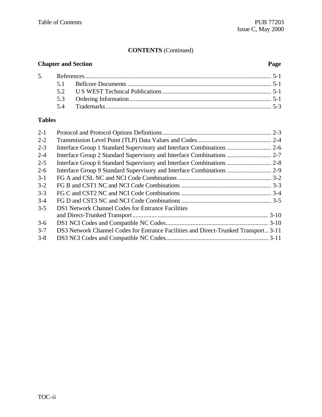### **CONTENTS** (Continued)

#### **Chapter and Section Page**

#### **Tables**

| $2 - 1$ |                                                                                     |  |
|---------|-------------------------------------------------------------------------------------|--|
| $2 - 2$ |                                                                                     |  |
| $2 - 3$ | Interface Group 1 Standard Supervisory and Interface Combinations  2-6              |  |
| $2 - 4$ | Interface Group 2 Standard Supervisory and Interface Combinations  2-7              |  |
| $2 - 5$ | Interface Group 6 Standard Supervisory and Interface Combinations  2-8              |  |
| $2 - 6$ | Interface Group 9 Standard Supervisory and Interface Combinations  2-9              |  |
| $3-1$   |                                                                                     |  |
| $3 - 2$ |                                                                                     |  |
| $3 - 3$ |                                                                                     |  |
| $3 - 4$ |                                                                                     |  |
| $3 - 5$ | <b>DS1</b> Network Channel Codes for Entrance Facilities                            |  |
|         |                                                                                     |  |
| $3-6$   |                                                                                     |  |
| $3 - 7$ | DS3 Network Channel Codes for Entrance Facilities and Direct-Trunked Transport 3-11 |  |
| $3 - 8$ |                                                                                     |  |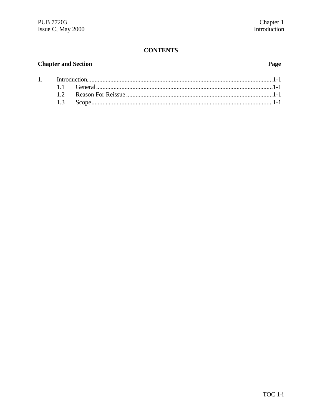#### **CONTENTS**

#### **Chapter and Section**

 $\overline{1}$ .

#### Page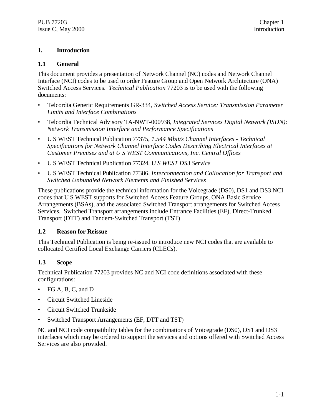#### **1. Introduction**

#### **1.1 General**

This document provides a presentation of Network Channel (NC) codes and Network Channel Interface (NCI) codes to be used to order Feature Group and Open Network Architecture (ONA) Switched Access Services. *Technical Publication* 77203 is to be used with the following documents:

- Telcordia Generic Requirements GR-334, *Switched Access Service: Transmission Parameter Limits and Interface Combinations*
- Telcordia Technical Advisory TA-NWT-000938, *Integrated Services Digital Network (ISDN): Network Transmission Interface and Performance Specifications*
- U S WEST Technical Publication 77375, *1.544 Mbit/s Channel Interfaces Technical Specifications for Network Channel Interface Codes Describing Electrical Interfaces at Customer Premises and at U S WEST Communications, Inc. Central Offices*
- U S WEST Technical Publication 77324, *U S WEST DS3 Service*
- U S WEST Technical Publication 77386, *Interconnection and Collocation for Transport and Switched Unbundled Network Elements and Finished Services*

These publications provide the technical information for the Voicegrade (DS0), DS1 and DS3 NCI codes that U S WEST supports for Switched Access Feature Groups, ONA Basic Service Arrangements (BSAs), and the associated Switched Transport arrangements for Switched Access Services. Switched Transport arrangements include Entrance Facilities (EF), Direct-Trunked Transport (DTT) and Tandem-Switched Transport (TST)

#### **1.2 Reason for Reissue**

This Technical Publication is being re-issued to introduce new NCI codes that are available to collocated Certified Local Exchange Carriers (CLECs).

#### **1.3 Scope**

Technical Publication 77203 provides NC and NCI code definitions associated with these configurations:

- FG A, B, C, and D
- Circuit Switched Lineside
- Circuit Switched Trunkside
- Switched Transport Arrangements (EF, DTT and TST)

NC and NCI code compatibility tables for the combinations of Voicegrade (DS0), DS1 and DS3 interfaces which may be ordered to support the services and options offered with Switched Access Services are also provided.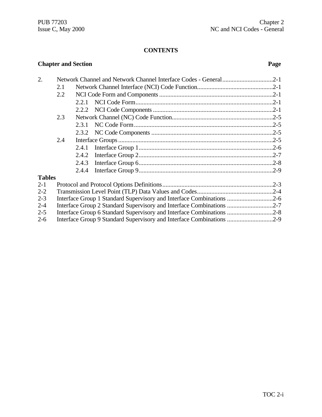#### **CONTENTS**

#### **Chapter and Section Page**

| 2.            |               |       |                                                                       |  |
|---------------|---------------|-------|-----------------------------------------------------------------------|--|
|               | 2.1           |       |                                                                       |  |
|               | $2.2^{\circ}$ |       |                                                                       |  |
|               |               | 2.2.1 |                                                                       |  |
|               |               |       |                                                                       |  |
|               | 2.3           |       |                                                                       |  |
|               |               | 2.3.1 |                                                                       |  |
|               |               |       |                                                                       |  |
|               | 2.4           |       |                                                                       |  |
|               |               | 2.4.1 |                                                                       |  |
|               |               |       |                                                                       |  |
|               |               |       |                                                                       |  |
|               |               | 2.4.4 |                                                                       |  |
| <b>Tables</b> |               |       |                                                                       |  |
| $2 - 1$       |               |       |                                                                       |  |
| $2 - 2$       |               |       |                                                                       |  |
| $2 - 3$       |               |       | Interface Group 1 Standard Supervisory and Interface Combinations 2-6 |  |
| $2 - 4$       |               |       | Interface Group 2 Standard Supervisory and Interface Combinations 2-7 |  |
| $2 - 5$       |               |       | Interface Group 6 Standard Supervisory and Interface Combinations 2-8 |  |
| $2 - 6$       |               |       | Interface Group 9 Standard Supervisory and Interface Combinations 2-9 |  |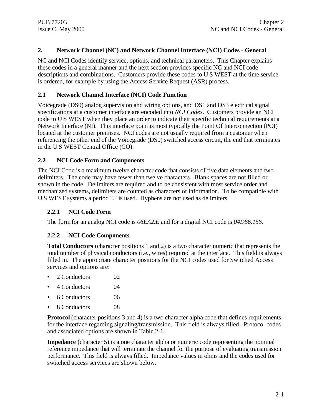#### **2. Network Channel (NC) and Network Channel Interface (NCI) Codes - General**

NC and NCI Codes identify service, options, and technical parameters. This Chapter explains these codes in a general manner and the next section provides specific NC and NCI code descriptions and combinations. Customers provide these codes to U S WEST at the time service is ordered, for example by using the Access Service Request (ASR) process.

#### **2.1 Network Channel Interface (NCI) Code Function**

Voicegrade (DS0) analog supervision and wiring options, and DS1 and DS3 electrical signal specifications at a customer interface are encoded into *NCI Codes*. Customers provide an NCI code to U S WEST when they place an order to indicate their specific technical requirements at a Network Interface (NI). This interface point is most typically the Point Of Interconnection (POI) located at the customer premises. NCI codes are not usually required from a customer when referencing the other end of the Voicegrade (DS0) switched access circuit, the end that terminates in the U S WEST Central Office (CO).

#### **2.2 NCI Code Form and Components**

The NCI Code is a maximum twelve character code that consists of five data elements and two delimiters. The code may have fewer than twelve characters. Blank spaces are not filled or shown in the code. Delimiters are required and to be consistent with most service order and mechanized systems, delimiters are counted as characters of information. To be compatible with U S WEST systems a period "." is used. Hyphens are not used as delimiters.

#### **2.2.1 NCI Code Form**

The form for an analog NCI code is *06EA2.E* and for a digital NCI code is *04DS6.15S.*

#### **2.2.2 NCI Code Components**

**Total Conductors** (character positions 1 and 2) is a two character numeric that represents the total number of physical conductors (i.e., wires) required at the interface. This field is always filled in. The appropriate character positions for the NCI codes used for Switched Access services and options are:

- 2 Conductors 02
- 4 Conductors 04
- 6 Conductors 06
- 8 Conductors 08

**Protocol** (character positions 3 and 4) is a two character alpha code that defines requirements for the interface regarding signaling/transmission. This field is always filled. Protocol codes and associated options are shown in Table 2-1.

**Impedance** (character 5) is a one character alpha or numeric code representing the nominal reference impedance that will terminate the channel for the purpose of evaluating transmission performance. This field is always filled. Impedance values in ohms and the codes used for switched access services are shown below.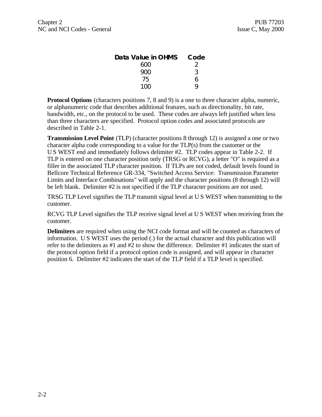| Data Value in OHMS | Code |
|--------------------|------|
| 600                |      |
| 900                | 3    |
| 75                 | 6    |
| 100                | a    |

**Protocol Options** (characters positions 7, 8 and 9) is a one to three character alpha, numeric, or alphanumeric code that describes additional features, such as directionality, bit rate, bandwidth, etc., on the protocol to be used. These codes are always left justified when less than three characters are specified. Protocol option codes and associated protocols are described in Table 2-1.

**Transmission Level Point** (TLP) (character positions 8 through 12) is assigned a one or two character alpha code corresponding to a value for the TLP(s) from the customer or the U S WEST end and immediately follows delimiter #2. TLP codes appear in Table 2-2. If TLP is entered on one character position only (TRSG or RCVG), a letter "O" is required as a filler in the associated TLP character position. If TLPs are not coded, default levels found in Bellcore Technical Reference GR-334, "Switched Access Service: Transmission Parameter Limits and Interface Combinations" will apply and the character positions (8 through 12) will be left blank. Delimiter #2 is not specified if the TLP character positions are not used.

TRSG TLP Level signifies the TLP transmit signal level at U S WEST when transmitting to the customer.

RCVG TLP Level signifies the TLP receive signal level at U S WEST when receiving from the customer.

**Delimiters** are required when using the NCI code format and will be counted as characters of information. U S WEST uses the period (.) for the actual character and this publication will refer to the delimiters as #1 and #2 to show the difference. Delimiter #1 indicates the start of the protocol option field if a protocol option code is assigned, and will appear in character position 6. Delimiter #2 indicates the start of the TLP field if a TLP level is specified.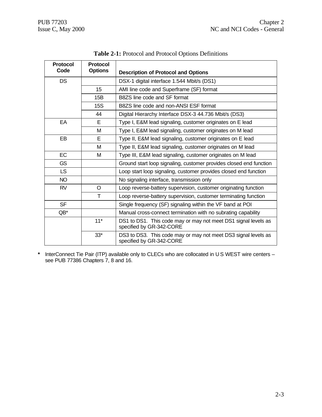| <b>Protocol</b><br>Code | <b>Protocol</b><br><b>Options</b> | <b>Description of Protocol and Options</b>                                                 |
|-------------------------|-----------------------------------|--------------------------------------------------------------------------------------------|
| <b>DS</b>               |                                   | DSX-1 digital interface 1.544 Mbit/s (DS1)                                                 |
|                         | 15                                | AMI line code and Superframe (SF) format                                                   |
|                         | 15B                               | B8ZS line code and SF format                                                               |
|                         | <b>15S</b>                        | B8ZS line code and non-ANSI ESF format                                                     |
|                         | 44                                | Digital Hierarchy Interface DSX-3 44.736 Mbit/s (DS3)                                      |
| EA                      | E.                                | Type I, E&M lead signaling, customer originates on E lead                                  |
|                         | M                                 | Type I, E&M lead signaling, customer originates on M lead                                  |
| EB                      | E.                                | Type II, E&M lead signaling, customer originates on E lead                                 |
|                         | М                                 | Type II, E&M lead signaling, customer originates on M lead                                 |
| <b>EC</b>               | М                                 | Type III, E&M lead signaling, customer originates on M lead                                |
| <b>GS</b>               |                                   | Ground start loop signaling, customer provides closed end function                         |
| LS.                     |                                   | Loop start loop signaling, customer provides closed end function                           |
| <b>NO</b>               |                                   | No signaling interface, transmission only                                                  |
| <b>RV</b>               | O                                 | Loop reverse-battery supervision, customer originating function                            |
|                         | т                                 | Loop reverse-battery supervision, customer terminating function                            |
| <b>SF</b>               |                                   | Single frequency (SF) signaling within the VF band at POI                                  |
| $QB^*$                  |                                   | Manual cross-connect termination with no subrating capability                              |
|                         | $11*$                             | DS1 to DS1. This code may or may not meet DS1 signal levels as<br>specified by GR-342-CORE |
|                         | $33*$                             | DS3 to DS3. This code may or may not meet DS3 signal levels as<br>specified by GR-342-CORE |

**Table 2-1:** Protocol and Protocol Options Definitions

**\*** InterConnect Tie Pair (ITP) available only to CLECs who are collocated in U S WEST wire centers – see PUB 77386 Chapters 7, 8 and 16.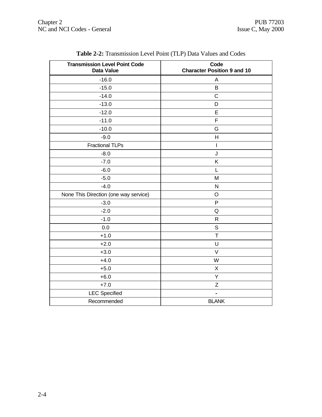| <b>Transmission Level Point Code</b><br>Data Value | Code<br><b>Character Position 9 and 10</b> |
|----------------------------------------------------|--------------------------------------------|
| $-16.0$                                            | A                                          |
| $-15.0$                                            | B                                          |
| $-14.0$                                            | $\mathsf{C}$                               |
| $-13.0$                                            | D                                          |
| $-12.0$                                            | E                                          |
| $-11.0$                                            | F                                          |
| $-10.0$                                            | G                                          |
| $-9.0$                                             | H                                          |
| <b>Fractional TLPs</b>                             | I                                          |
| $-8.0$                                             | J                                          |
| $-7.0$                                             | Κ                                          |
| $-6.0$                                             | L                                          |
| $-5.0$                                             | M                                          |
| $-4.0$                                             | ${\sf N}$                                  |
| None This Direction (one way service)              | $\circ$                                    |
| $-3.0$                                             | P                                          |
| $-2.0$                                             | Q                                          |
| $-1.0$                                             | $\mathsf{R}$                               |
| 0.0                                                | $\mathbf S$                                |
| $+1.0$                                             | T                                          |
| $+2.0$                                             | U                                          |
| $+3.0$                                             | V                                          |
| $+4.0$                                             | W                                          |
| $+5.0$                                             | X                                          |
| $+6.0$                                             | Υ                                          |
| $+7.0$                                             | Z                                          |
| <b>LEC Specified</b>                               |                                            |
| Recommended                                        | <b>BLANK</b>                               |

**Table 2-2:** Transmission Level Point (TLP) Data Values and Codes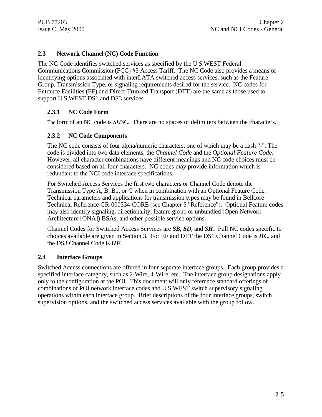#### **2.3 Network Channel (NC) Code Function**

The NC Code identifies switched services as specified by the U S WEST Federal Communications Commission (FCC) #5 Access Tariff. The NC Code also provides a means of identifying options associated with interLATA switched access services, such as the Feature Group, Transmission Type, or signaling requirements desired for the service. NC codes for Entrance Facilities (EF) and Direct-Trunked Transport (DTT) are the same as those used to support U S WEST DS1 and DS3 services.

#### **2.3.1 NC Code Form**

The form of an NC code is *SHSC.* There are no spaces or delimiters between the characters.

#### **2.3.2 NC Code Components**

The NC code consists of four alpha/numeric characters, one of which may be a dash "-". The code is divided into two data elements, the *Channel Code* and the *Optional Feature Code*. However, all character combinations have different meanings and NC code choices must be considered based on all four characters. NC codes may provide information which is redundant to the NCI code interface specifications.

For Switched Access Services the first two characters or Channel Code denote the Transmission Type A, B, B1, or C when in combination with an Optional Feature Code. Technical parameters and applications for transmission types may be found in Bellcore Technical Reference GR-000334-CORE (see Chapter 5 "Reference"). Optional Feature codes may also identify signaling, directionality, feature group or unbundled (Open Network Architecture [ONA]) BSAs, and other possible service options.

Channel Codes for Switched Access Services are *SB, SD*, and *SH***.** Full NC codes specific to choices available are given in Section 3. For EF and DTT the DS1 Channel Code is *HC*, and the DS3 Channel Code is *HF*.

#### **2.4 Interface Groups**

Switched Access connections are offered in four separate interface groups. Each group provides a specified interface category, such as 2-Wire, 4-Wire, etc. The interface group designations apply only to the configuration at the POI. This document will only reference standard offerings of combinations of POI network interface codes and U S WEST switch supervisory signaling operations within each interface group. Brief descriptions of the four interface groups, switch supervision options, and the switched access services available with the group follow.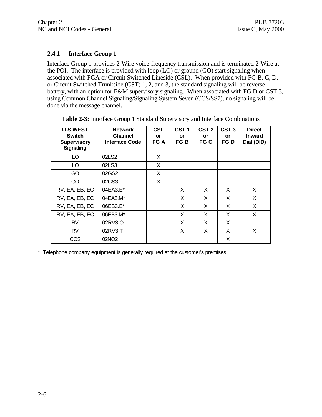#### **2.4.1 Interface Group 1**

Interface Group 1 provides 2-Wire voice-frequency transmission and is terminated 2-Wire at the POI. The interface is provided with loop (LO) or ground (GO) start signaling when associated with FGA or Circuit Switched Lineside (CSL). When provided with FG B, C, D, or Circuit Switched Trunkside (CST) 1, 2, and 3, the standard signaling will be reverse battery, with an option for E&M supervisory signaling. When associated with FG D or CST 3, using Common Channel Signaling/Signaling System Seven (CCS/SS7), no signaling will be done via the message channel.

| <b>US WEST</b><br><b>Switch</b><br><b>Supervisory</b><br><b>Signaling</b> | <b>Network</b><br><b>Channel</b><br><b>Interface Code</b> | <b>CSL</b><br>or<br>FG A | CST <sub>1</sub><br>or<br>FG B | CST <sub>2</sub><br><b>or</b><br>FG C | CST <sub>3</sub><br>or<br>FG D | <b>Direct</b><br><b>Inward</b><br>Dial (DID) |
|---------------------------------------------------------------------------|-----------------------------------------------------------|--------------------------|--------------------------------|---------------------------------------|--------------------------------|----------------------------------------------|
| LO                                                                        | 02LS2                                                     | X                        |                                |                                       |                                |                                              |
| LO                                                                        | 02LS3                                                     | X                        |                                |                                       |                                |                                              |
| GO                                                                        | 02GS2                                                     | X                        |                                |                                       |                                |                                              |
| GO                                                                        | 02GS3                                                     | X                        |                                |                                       |                                |                                              |
| RV, EA, EB, EC                                                            | $04EAA3.E*$                                               |                          | X                              | X                                     | X                              | X                                            |
| RV, EA, EB, EC                                                            | 04EA3.M*                                                  |                          | X                              | X                                     | X                              | X                                            |
| RV, EA, EB, EC                                                            | 06EB3.E*                                                  |                          | X                              | X                                     | X                              | X                                            |
| RV, EA, EB, EC                                                            | 06EB3.M*                                                  |                          | X                              | X                                     | X                              | X                                            |
| <b>RV</b>                                                                 | 02RV3.O                                                   |                          | X                              | X                                     | X                              |                                              |
| <b>RV</b>                                                                 | 02RV3.T                                                   |                          | X                              | X                                     | X                              | X                                            |
| <b>CCS</b>                                                                | 02NO <sub>2</sub>                                         |                          |                                |                                       | X                              |                                              |

**Table 2-3:** Interface Group 1 Standard Supervisory and Interface Combinations

\* Telephone company equipment is generally required at the customer's premises.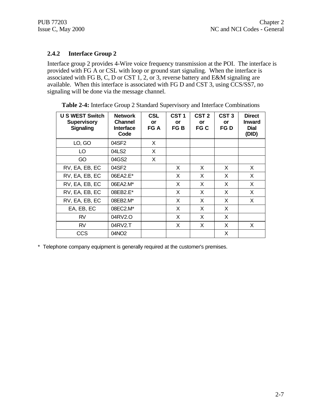#### **2.4.2 Interface Group 2**

Interface group 2 provides 4-Wire voice frequency transmission at the POI. The interface is provided with FG A or CSL with loop or ground start signaling. When the interface is associated with FG B, C, D or CST 1, 2, or 3, reverse battery and E&M signaling are available. When this interface is associated with FG D and CST 3, using CCS/SS7, no signaling will be done via the message channel.

| U S WEST Switch<br><b>Supervisory</b><br><b>Signaling</b> | <b>Network</b><br><b>Channel</b><br><b>Interface</b><br>Code | <b>CSL</b><br>or<br>FG A | CST <sub>1</sub><br>or<br>FG B | CST <sub>2</sub><br>or<br>FG C | CST <sub>3</sub><br>or<br>FG D | <b>Direct</b><br><b>Inward</b><br><b>Dial</b><br>(DID) |
|-----------------------------------------------------------|--------------------------------------------------------------|--------------------------|--------------------------------|--------------------------------|--------------------------------|--------------------------------------------------------|
| LO, GO                                                    | 04SF2                                                        | X                        |                                |                                |                                |                                                        |
| LO                                                        | 04LS2                                                        | X                        |                                |                                |                                |                                                        |
| GO                                                        | 04GS2                                                        | X                        |                                |                                |                                |                                                        |
| RV, EA, EB, EC                                            | 04SF2                                                        |                          | X                              | X                              | X                              | X                                                      |
| RV, EA, EB, EC                                            | 06EA2.E*                                                     |                          | X                              | X                              | X                              | X                                                      |
| RV, EA, EB, EC                                            | 06EA2.M*                                                     |                          | X                              | X                              | X                              | X                                                      |
| RV, EA, EB, EC                                            | 08EB2.E*                                                     |                          | X                              | X                              | X                              | X                                                      |
| RV, EA, EB, EC                                            | 08EB2.M*                                                     |                          | X                              | X                              | X                              | X                                                      |
| EA, EB, EC                                                | 08EC2.M*                                                     |                          | X                              | X                              | X                              |                                                        |
| RV                                                        | 04RV2.O                                                      |                          | X                              | X                              | X                              |                                                        |
| <b>RV</b>                                                 | 04RV2.T                                                      |                          | X                              | X                              | X                              | X                                                      |
| CCS                                                       | 04NO <sub>2</sub>                                            |                          |                                |                                | X                              |                                                        |

**Table 2-4:** Interface Group 2 Standard Supervisory and Interface Combinations

\* Telephone company equipment is generally required at the customer's premises.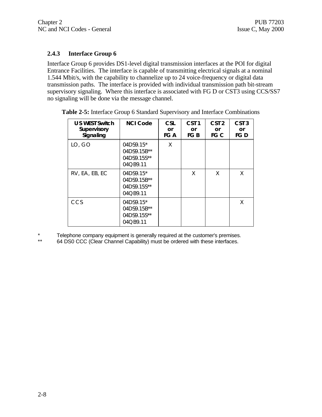#### **2.4.3 Interface Group 6**

Interface Group 6 provides DS1-level digital transmission interfaces at the POI for digital Entrance Facilities. The interface is capable of transmitting electrical signals at a nominal 1.544 Mbit/s, with the capability to channelize up to 24 voice-frequency or digital data transmission paths. The interface is provided with individual transmission path bit-stream supervisory signaling. Where this interface is associated with FG D or CST3 using CCS/SS7 no signaling will be done via the message channel.

| <b>U S WEST Switch</b><br>Supervisory<br>Signaling | <b>NCI Code</b>                                     | <b>CSL</b><br>or<br>FG A | CST <sub>1</sub><br>or<br>FG <sub>B</sub> | CST <sub>2</sub><br>or<br>FG C | CST <sub>3</sub><br>or<br>FG D |
|----------------------------------------------------|-----------------------------------------------------|--------------------------|-------------------------------------------|--------------------------------|--------------------------------|
| LO, GO                                             | 04DS9.15*<br>04DS9.15B**<br>04DS9.15S**<br>04QB9.11 | X                        |                                           |                                |                                |
| RV, EA, EB, EC                                     | 04DS9.15*<br>04DS9.15B**<br>04DS9.15S**<br>04QB9.11 |                          | X                                         | X                              | X                              |
| CCS                                                | 04DS9.15*<br>04DS9.15B**<br>04DS9.15S**<br>04QB9.11 |                          |                                           |                                | X                              |

**Table 2-5:** Interface Group 6 Standard Supervisory and Interface Combinations

\* Telephone company equipment is generally required at the customer's premises.<br>\*\* 64 DS0 CCC (Clear Channel Capability) must be experted with these interfaces

64 DS0 CCC (Clear Channel Capability) must be ordered with these interfaces.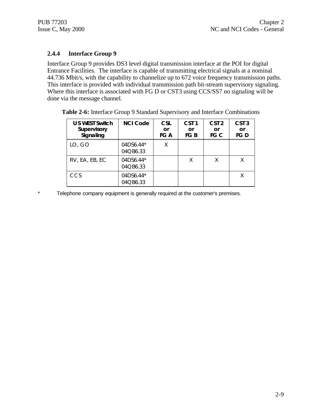#### **2.4.4 Interface Group 9**

Interface Group 9 provides DS3 level digital transmission interface at the POI for digital Entrance Facilities. The interface is capable of transmitting electrical signals at a nominal 44.736 Mbit/s, with the capability to channelize up to 672 voice frequency transmission paths. This interface is provided with individual transmission path bit-stream supervisory signaling. Where this interface is associated with FG D or CST3 using CCS/SS7 no signaling will be done via the message channel.

| <b>U S WEST Switch</b><br>Supervisory<br>Signaling | <b>NCI Code</b>       | <b>CSL</b><br>or<br>FG A | CST <sub>1</sub><br>or<br>FG B | CST <sub>2</sub><br><b>or</b><br>FG C | CST <sub>3</sub><br>or<br>FG D |
|----------------------------------------------------|-----------------------|--------------------------|--------------------------------|---------------------------------------|--------------------------------|
| LO, GO                                             | 04DS6.44*<br>04QB6.33 |                          |                                |                                       |                                |
| RV, EA, EB, EC                                     | 04DS6.44*<br>04QB6.33 |                          |                                |                                       |                                |
| CCS                                                | 04DS6.44*<br>04QB6.33 |                          |                                |                                       |                                |

**Table 2-6:** Interface Group 9 Standard Supervisory and Interface Combinations

\* Telephone company equipment is generally required at the customer's premises.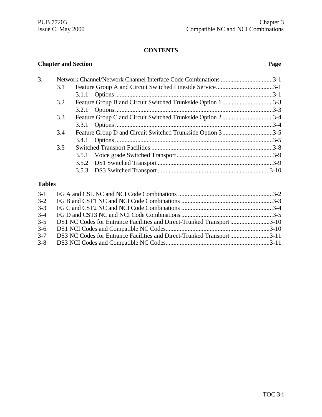#### **CONTENTS**

#### **Chapter and Section Page**

| 3. |     | Network Channel/Network Channel Interface Code Combinations 3-1 |  |
|----|-----|-----------------------------------------------------------------|--|
|    | 3.1 | Feature Group A and Circuit Switched Lineside Service3-1        |  |
|    |     |                                                                 |  |
|    | 3.2 | Feature Group B and Circuit Switched Trunkside Option 13-3      |  |
|    |     |                                                                 |  |
|    | 3.3 | Feature Group C and Circuit Switched Trunkside Option 23-4      |  |
|    |     |                                                                 |  |
|    | 3.4 | Feature Group D and Circuit Switched Trunkside Option 33-5      |  |
|    |     |                                                                 |  |
|    | 3.5 |                                                                 |  |
|    |     |                                                                 |  |
|    |     |                                                                 |  |
|    |     |                                                                 |  |
|    |     |                                                                 |  |

#### **Tables**

| $3 - 2$ |                                                                            |  |
|---------|----------------------------------------------------------------------------|--|
| $3 - 3$ |                                                                            |  |
|         |                                                                            |  |
| $3 - 5$ | DS1 NC Codes for Entrance Facilities and Direct-Trunked Transport 3-10     |  |
| $3-6$   |                                                                            |  |
|         | 3-7 DS3 NC Codes for Entrance Facilities and Direct-Trunked Transport 3-11 |  |
|         |                                                                            |  |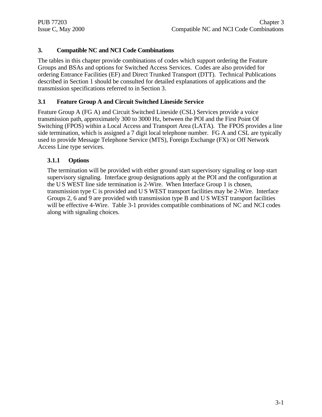#### **3. Compatible NC and NCI Code Combinations**

The tables in this chapter provide combinations of codes which support ordering the Feature Groups and BSAs and options for Switched Access Services. Codes are also provided for ordering Entrance Facilities (EF) and Direct Trunked Transport (DTT). Technical Publications described in Section 1 should be consulted for detailed explanations of applications and the transmission specifications referred to in Section 3.

#### **3.1 Feature Group A and Circuit Switched Lineside Service**

Feature Group A (FG A) and Circuit Switched Lineside (CSL) Services provide a voice transmission path, approximately 300 to 3000 Hz, between the POI and the First Point Of Switching (FPOS) within a Local Access and Transport Area (LATA). The FPOS provides a line side termination, which is assigned a 7 digit local telephone number. FG A and CSL are typically used to provide Message Telephone Service (MTS), Foreign Exchange (FX) or Off Network Access Line type services.

#### **3.1.1 Options**

The termination will be provided with either ground start supervisory signaling or loop start supervisory signaling. Interface group designations apply at the POI and the configuration at the U S WEST line side termination is 2-Wire. When Interface Group 1 is chosen, transmission type C is provided and U S WEST transport facilities may be 2-Wire. Interface Groups 2, 6 and 9 are provided with transmission type B and U S WEST transport facilities will be effective 4-Wire. Table 3-1 provides compatible combinations of NC and NCI codes along with signaling choices.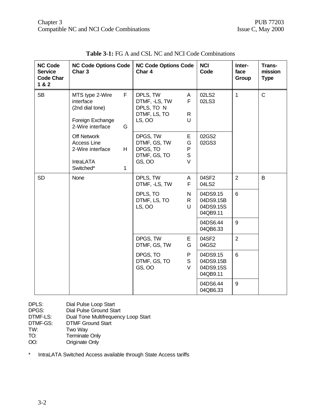| <b>NC Code</b><br><b>Service</b><br><b>Code Char</b><br>1 & 2 | <b>NC Code Options Code</b><br>Char <sub>3</sub>                                                             | <b>NC Code Options Code</b><br>Char 4                                                                             | <b>NCI</b><br>Code                             | Inter-<br>face<br>Group | Trans-<br>mission<br><b>Type</b> |
|---------------------------------------------------------------|--------------------------------------------------------------------------------------------------------------|-------------------------------------------------------------------------------------------------------------------|------------------------------------------------|-------------------------|----------------------------------|
| <b>SB</b>                                                     | F.<br>MTS type 2-Wire<br>interface<br>(2nd dial tone)<br>Foreign Exchange<br>2-Wire interface<br>G           | DPLS, TW<br>A<br>F<br>DTMF, -LS, TW<br>DPLS, TO N<br>DTMF, LS, TO<br>$\mathsf{R}$<br>LS, OO<br>U                  | 02LS2<br>02LS3                                 | $\mathbf{1}$            | $\mathsf{C}$                     |
|                                                               | Off Network<br><b>Access Line</b><br>2-Wire interface<br>H.<br><b>IntraLATA</b><br>Switched*<br>$\mathbf{1}$ | DPGS, TW<br>Ε<br>G<br>DTMF, GS, TW<br>$\mathsf{P}$<br>DPGS, TO<br>$\mathsf S$<br>DTMF, GS, TO<br>$\vee$<br>GS, OO | 02GS2<br>02GS3                                 |                         |                                  |
| <b>SD</b>                                                     | None                                                                                                         | DPLS, TW<br>A<br>DTMF, -LS, TW<br>$\mathsf F$                                                                     | 04SF2<br>04LS2                                 | $\overline{2}$          | B                                |
|                                                               |                                                                                                              | DPLS, TO<br>N<br>DTMF, LS, TO<br>$\mathsf{R}$<br>LS, OO<br>U                                                      | 04DS9.15<br>04DS9.15B<br>04DS9.15S<br>04QB9.11 | 6                       |                                  |
|                                                               |                                                                                                              |                                                                                                                   | 04DS6.44<br>04QB6.33                           | 9                       |                                  |
|                                                               |                                                                                                              | DPGS, TW<br>Е<br>DTMF, GS, TW<br>G                                                                                | 04SF2<br>04GS2                                 | $\overline{2}$          |                                  |
|                                                               |                                                                                                              | DPGS, TO<br>P<br>DTMF, GS, TO<br>S<br>$\vee$<br>GS, OO                                                            | 04DS9.15<br>04DS9.15B<br>04DS9.15S<br>04QB9.11 | $6\phantom{1}$          |                                  |
|                                                               |                                                                                                              |                                                                                                                   | 04DS6.44<br>04QB6.33                           | 9                       |                                  |

**Table 3-1:** FG A and CSL NC and NCI Code Combinations

DPLS: Dial Pulse Loop Start DPGS: Dial Pulse Ground Start<br>DTMF-LS: Dual Tone Multifrequence Dual Tone Multifrequency Loop Start DTMF-GS: DTMF Ground Start TW: Two Way TO: Terminate Only<br>
OO: Originate Only Originate Only

\* IntraLATA Switched Access available through State Access tariffs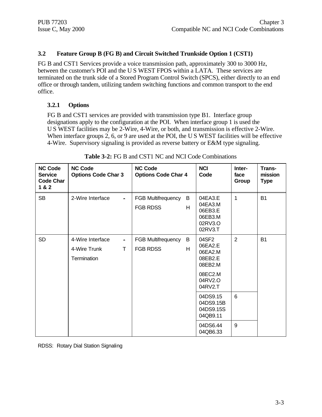#### **3.2 Feature Group B (FG B) and Circuit Switched Trunkside Option 1 (CST1)**

FG B and CST1 Services provide a voice transmission path, approximately 300 to 3000 Hz, between the customer's POI and the U S WEST FPOS within a LATA. These services are terminated on the trunk side of a Stored Program Control Switch (SPCS), either directly to an end office or through tandem, utilizing tandem switching functions and common transport to the end office.

#### **3.2.1 Options**

FG B and CST1 services are provided with transmission type B1. Interface group designations apply to the configuration at the POI. When interface group 1 is used the U S WEST facilities may be 2-Wire, 4-Wire, or both, and transmission is effective 2-Wire. When interface groups 2, 6, or 9 are used at the POI, the U S WEST facilities will be effective 4-Wire. Supervisory signaling is provided as reverse battery or E&M type signaling.

| <b>NC Code</b><br><b>Service</b><br><b>Code Char</b><br>1 & 2 | <b>NC Code</b><br><b>Options Code Char 3</b>                            | <b>NC Code</b><br><b>Options Code Char 4</b>           | <b>NCI</b><br>Code                                                                 | Inter-<br>face<br>Group | Trans-<br>mission<br><b>Type</b> |
|---------------------------------------------------------------|-------------------------------------------------------------------------|--------------------------------------------------------|------------------------------------------------------------------------------------|-------------------------|----------------------------------|
| <b>SB</b>                                                     | 2-Wire Interface<br>۰                                                   | B<br><b>FGB Multifrequency</b><br>H<br><b>FGB RDSS</b> | 04EA3.E<br>04EA3.M<br>06EB3.E<br>06EB3.M<br>02RV3.O<br>02RV3.T                     | 1                       | <b>B1</b>                        |
| <b>SD</b>                                                     | 4-Wire Interface<br>$\blacksquare$<br>T.<br>4-Wire Trunk<br>Termination | <b>FGB Multifrequency</b><br>B<br><b>FGB RDSS</b><br>H | 04SF2<br>06EA2.E<br>06EA2.M<br>08EB2.E<br>08EB2.M<br>08EC2.M<br>04RV2.O<br>04RV2.T | 2                       | <b>B1</b>                        |
|                                                               |                                                                         |                                                        | 04DS9.15<br>04DS9.15B<br>04DS9.15S<br>04QB9.11                                     | 6                       |                                  |
|                                                               |                                                                         |                                                        | 04DS6.44<br>04QB6.33                                                               | 9                       |                                  |

RDSS: Rotary Dial Station Signaling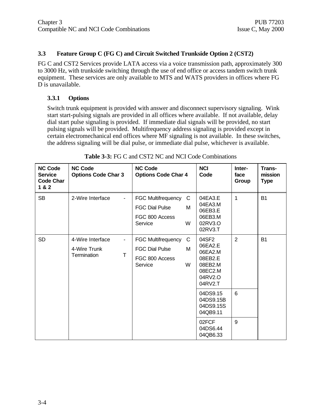#### **3.3 Feature Group C (FG C) and Circuit Switched Trunkside Option 2 (CST2)**

FG C and CST2 Services provide LATA access via a voice transmission path, approximately 300 to 3000 Hz, with trunkside switching through the use of end office or access tandem switch trunk equipment. These services are only available to MTS and WATS providers in offices where FG D is unavailable.

#### **3.3.1 Options**

Switch trunk equipment is provided with answer and disconnect supervisory signaling. Wink start start-pulsing signals are provided in all offices where available. If not available, delay dial start pulse signaling is provided. If immediate dial signals will be provided, no start pulsing signals will be provided. Multifrequency address signaling is provided except in certain electromechanical end offices where MF signaling is not available. In these switches, the address signaling will be dial pulse, or immediate dial pulse, whichever is available.

| <b>NC Code</b><br><b>Service</b><br><b>Code Char</b><br>1 & 2 | <b>NC Code</b><br><b>Options Code Char 3</b>              | <b>NC Code</b><br><b>Options Code Char 4</b>                                                   | <b>NCI</b><br>Code                                                                 | Inter-<br>face<br>Group | Trans-<br>mission<br><b>Type</b> |
|---------------------------------------------------------------|-----------------------------------------------------------|------------------------------------------------------------------------------------------------|------------------------------------------------------------------------------------|-------------------------|----------------------------------|
| <b>SB</b>                                                     | 2-Wire Interface<br>$\overline{\phantom{0}}$              | <b>FGC Multifrequency</b><br>C<br><b>FGC Dial Pulse</b><br>M<br>FGC 800 Access<br>W<br>Service | 04EA3.E<br>04EA3.M<br>06EB3.E<br>06EB3.M<br>02RV3.O<br>02RV3.T                     | 1                       | <b>B1</b>                        |
| <b>SD</b>                                                     | 4-Wire Interface<br>-<br>4-Wire Trunk<br>Termination<br>Т | <b>FGC Multifrequency</b><br>C<br>M<br><b>FGC Dial Pulse</b><br>FGC 800 Access<br>W<br>Service | 04SF2<br>06EA2.E<br>06EA2.M<br>08EB2.E<br>08EB2.M<br>08EC2.M<br>04RV2.O<br>04RV2.T | $\overline{2}$          | <b>B1</b>                        |
|                                                               |                                                           |                                                                                                | 04DS9.15<br>04DS9.15B<br>04DS9.15S<br>04QB9.11                                     | 6                       |                                  |
|                                                               |                                                           |                                                                                                | 02FCF<br>04DS6.44<br>04QB6.33                                                      | 9                       |                                  |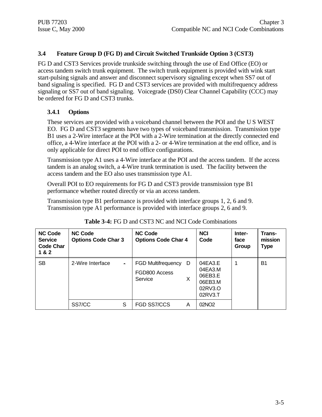#### **3.4 Feature Group D (FG D) and Circuit Switched Trunkside Option 3 (CST3)**

FG D and CST3 Services provide trunkside switching through the use of End Office (EO) or access tandem switch trunk equipment. The switch trunk equipment is provided with wink start start-pulsing signals and answer and disconnect supervisory signaling except when SS7 out of band signaling is specified. FG D and CST3 services are provided with multifrequency address signaling or SS7 out of band signaling. Voicegrade (DS0) Clear Channel Capability (CCC) may be ordered for FG D and CST3 trunks.

#### **3.4.1 Options**

These services are provided with a voiceband channel between the POI and the U S WEST EO. FG D and CST3 segments have two types of voiceband transmission. Transmission type B1 uses a 2-Wire interface at the POI with a 2-Wire termination at the directly connected end office, a 4-Wire interface at the POI with a 2- or 4-Wire termination at the end office, and is only applicable for direct POI to end office configurations.

Transmission type A1 uses a 4-Wire interface at the POI and the access tandem. If the access tandem is an analog switch, a 4-Wire trunk termination is used. The facility between the access tandem and the EO also uses transmission type A1.

Overall POI to EO requirements for FG D and CST3 provide transmission type B1 performance whether routed directly or via an access tandem.

Transmission type B1 performance is provided with interface groups 1, 2, 6 and 9. Transmission type A1 performance is provided with interface groups 2, 6 and 9.

| <b>NC Code</b><br><b>Service</b><br><b>Code Char</b><br>1&2 | <b>NC Code</b><br><b>Options Code Char 3</b> | <b>NC Code</b><br><b>Options Code Char 4</b>          |        | <b>NCI</b><br>Code                                             | Inter-<br>face<br>Group | Trans-<br>mission<br><b>Type</b> |
|-------------------------------------------------------------|----------------------------------------------|-------------------------------------------------------|--------|----------------------------------------------------------------|-------------------------|----------------------------------|
| <b>SB</b>                                                   | 2-Wire Interface<br>$\blacksquare$           | <b>FGD Multifrequency</b><br>FGD800 Access<br>Service | D<br>X | 04EA3.E<br>04EA3.M<br>06EB3.E<br>06EB3.M<br>02RV3.O<br>02RV3.T |                         | B <sub>1</sub>                   |
|                                                             | S<br>SS7/CC                                  | <b>FGD SS7/CCS</b>                                    | Α      | 02NO <sub>2</sub>                                              |                         |                                  |

#### **Table 3-4:** FG D and CST3 NC and NCI Code Combinations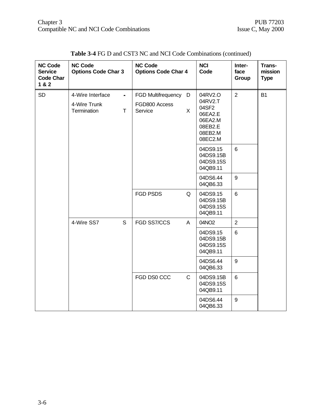| <b>NC Code</b><br><b>Service</b><br><b>Code Char</b><br>1 & 2 | <b>NC Code</b><br><b>Options Code Char 3</b>                           | <b>NC Code</b><br><b>Options Code Char 4</b>                    | <b>NCI</b><br>Code                                                                                                                   | Inter-<br>face<br>Group | Trans-<br>mission<br><b>Type</b> |
|---------------------------------------------------------------|------------------------------------------------------------------------|-----------------------------------------------------------------|--------------------------------------------------------------------------------------------------------------------------------------|-------------------------|----------------------------------|
| <b>SD</b>                                                     | 4-Wire Interface<br>$\blacksquare$<br>4-Wire Trunk<br>Termination<br>T | <b>FGD Multifrequency</b><br>D<br>FGD800 Access<br>X<br>Service | 04RV2.O<br>04RV2.T<br>04SF2<br>06EA2.E<br>06EA2.M<br>08EB2.E<br>08EB2.M<br>08EC2.M<br>04DS9.15<br>04DS9.15B<br>04DS9.15S<br>04QB9.11 | $\overline{2}$<br>6     | <b>B1</b>                        |
|                                                               |                                                                        |                                                                 | 04DS6.44<br>04QB6.33                                                                                                                 | 9                       |                                  |
|                                                               |                                                                        | <b>FGD PSDS</b><br>Q                                            | 04DS9.15<br>04DS9.15B<br>04DS9.15S<br>04QB9.11                                                                                       | $6\phantom{1}$          |                                  |
|                                                               | 4-Wire SS7<br>S                                                        | FGD SS7/CCS<br>A                                                | 04NO <sub>2</sub>                                                                                                                    | $\overline{2}$          |                                  |
|                                                               |                                                                        |                                                                 | 04DS9.15<br>04DS9.15B<br>04DS9.15S<br>04QB9.11                                                                                       | 6                       |                                  |
|                                                               |                                                                        |                                                                 | 04DS6.44<br>04QB6.33                                                                                                                 | $9\,$                   |                                  |
|                                                               |                                                                        | FGD DS0 CCC<br>$\mathsf{C}$                                     | 04DS9.15B<br>04DS9.15S<br>04QB9.11                                                                                                   | $6\phantom{a}$          |                                  |
|                                                               |                                                                        |                                                                 | 04DS6.44<br>04QB6.33                                                                                                                 | $9\,$                   |                                  |

**Table 3-4** FG D and CST3 NC and NCI Code Combinations (continued)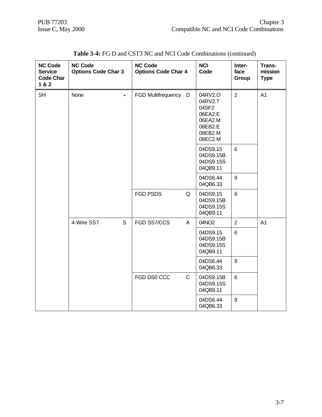| <b>NC Code</b><br><b>Service</b><br><b>Code Char</b><br>1 & 2 | <b>NC Code</b><br><b>Options Code Char 3</b> | <b>NC Code</b><br><b>Options Code Char 4</b> | <b>NCI</b><br>Code                                                                 | Inter-<br>face<br>Group | Trans-<br>mission<br><b>Type</b> |
|---------------------------------------------------------------|----------------------------------------------|----------------------------------------------|------------------------------------------------------------------------------------|-------------------------|----------------------------------|
| <b>SH</b>                                                     | None<br>$\blacksquare$                       | FGD Multifrequency D                         | 04RV2.O<br>04RV2.T<br>04SF2<br>06EA2.E<br>06EA2.M<br>08EB2.E<br>08EB2.M<br>08EC2.M | $\overline{2}$          | A1                               |
|                                                               |                                              |                                              | 04DS9.15<br>04DS9.15B<br>04DS9.15S<br>04QB9.11                                     | 6                       |                                  |
|                                                               |                                              |                                              | 04DS6.44<br>04QB6.33                                                               | $9\,$                   |                                  |
|                                                               |                                              | <b>FGD PSDS</b><br>Q                         | 04DS9.15<br>04DS9.15B<br>04DS9.15S<br>04QB9.11                                     | $6\phantom{1}$          |                                  |
|                                                               | 4-Wire SS7<br>S                              | FGD SS7/CCS<br>A                             | 04NO2                                                                              | $\overline{2}$          | A1                               |
|                                                               |                                              |                                              | 04DS9.15<br>04DS9.15B<br>04DS9.15S<br>04QB9.11                                     | $6\phantom{1}$          |                                  |
|                                                               |                                              |                                              | 04DS6.44<br>04QB6.33                                                               | 9                       |                                  |
|                                                               |                                              | FGD DS0 CCC<br>$\mathsf C$                   | 04DS9.15B<br>04DS9.15S<br>04QB9.11                                                 | $\,6\,$                 |                                  |
|                                                               |                                              |                                              | 04DS6.44<br>04QB6.33                                                               | 9                       |                                  |

**Table 3-4:** FG D and CST3 NC and NCI Code Combinations (continued)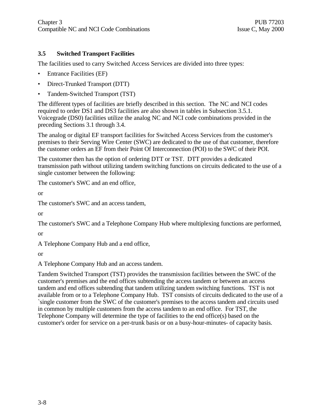#### **3.5 Switched Transport Facilities**

The facilities used to carry Switched Access Services are divided into three types:

- Entrance Facilities (EF)
- Direct-Trunked Transport (DTT)
- Tandem-Switched Transport (TST)

The different types of facilities are briefly described in this section. The NC and NCI codes required to order DS1 and DS3 facilities are also shown in tables in Subsection 3.5.1. Voicegrade (DS0) facilities utilize the analog NC and NCI code combinations provided in the preceding Sections 3.1 through 3.4.

The analog or digital EF transport facilities for Switched Access Services from the customer's premises to their Serving Wire Center (SWC) are dedicated to the use of that customer, therefore the customer orders an EF from their Point Of Interconnection (POI) to the SWC of their POI.

The customer then has the option of ordering DTT or TST. DTT provides a dedicated transmission path without utilizing tandem switching functions on circuits dedicated to the use of a single customer between the following:

The customer's SWC and an end office,

or

The customer's SWC and an access tandem,

or

The customer's SWC and a Telephone Company Hub where multiplexing functions are performed,

or

A Telephone Company Hub and a end office,

or

A Telephone Company Hub and an access tandem.

Tandem Switched Transport (TST) provides the transmission facilities between the SWC of the customer's premises and the end offices subtending the access tandem or between an access tandem and end offices subtending that tandem utilizing tandem switching functions. TST is not available from or to a Telephone Company Hub. TST consists of circuits dedicated to the use of a `single customer from the SWC of the customer's premises to the access tandem and circuits used in common by multiple customers from the access tandem to an end office. For TST, the Telephone Company will determine the type of facilities to the end office(s) based on the customer's order for service on a per-trunk basis or on a busy-hour-minutes- of capacity basis.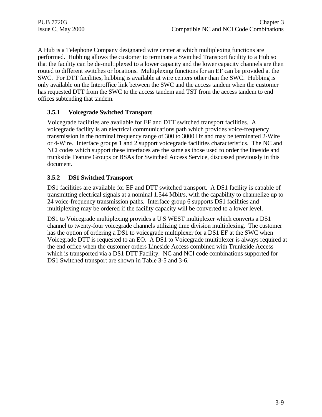A Hub is a Telephone Company designated wire center at which multiplexing functions are performed. Hubbing allows the customer to terminate a Switched Transport facility to a Hub so that the facility can be de-multiplexed to a lower capacity and the lower capacity channels are then routed to different switches or locations. Multiplexing functions for an EF can be provided at the SWC. For DTT facilities, hubbing is available at wire centers other than the SWC. Hubbing is only available on the Interoffice link between the SWC and the access tandem when the customer has requested DTT from the SWC to the access tandem and TST from the access tandem to end offices subtending that tandem.

#### **3.5.1 Voicegrade Switched Transport**

Voicegrade facilities are available for EF and DTT switched transport facilities. A voicegrade facility is an electrical communications path which provides voice-frequency transmission in the nominal frequency range of 300 to 3000 Hz and may be terminated 2-Wire or 4-Wire. Interface groups 1 and 2 support voicegrade facilities characteristics. The NC and NCI codes which support these interfaces are the same as those used to order the lineside and trunkside Feature Groups or BSAs for Switched Access Service, discussed previously in this document.

#### **3.5.2 DS1 Switched Transport**

DS1 facilities are available for EF and DTT switched transport. A DS1 facility is capable of transmitting electrical signals at a nominal 1.544 Mbit/s, with the capability to channelize up to 24 voice-frequency transmission paths. Interface group 6 supports DS1 facilities and multiplexing may be ordered if the facility capacity will be converted to a lower level.

DS1 to Voicegrade multiplexing provides a U S WEST multiplexer which converts a DS1 channel to twenty-four voicegrade channels utilizing time division multiplexing. The customer has the option of ordering a DS1 to voicegrade multiplexer for a DS1 EF at the SWC when Voicegrade DTT is requested to an EO. A DS1 to Voicegrade multiplexer is always required at the end office when the customer orders Lineside Access combined with Trunkside Access which is transported via a DS1 DTT Facility. NC and NCI code combinations supported for DS1 Switched transport are shown in Table 3-5 and 3-6.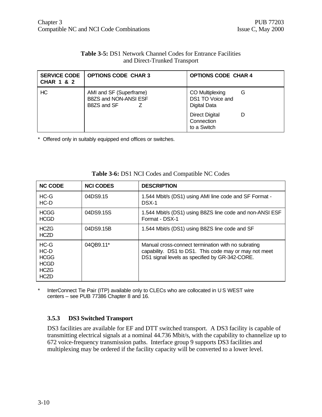| <b>Table 3-5: DS1 Network Channel Codes for Entrance Facilities</b> |
|---------------------------------------------------------------------|
| and Direct-Trunked Transport                                        |

| <b>SERVICE CODE</b><br><b>CHAR 1 &amp; 2</b> | <b>OPTIONS CODE CHAR 3</b>                                      | <b>OPTIONS CODE CHAR4</b>                                |
|----------------------------------------------|-----------------------------------------------------------------|----------------------------------------------------------|
| HC                                           | AMI and SF (Superframe)<br>B8ZS and NON-ANSI ESF<br>B8ZS and SF | CO Multiplexing<br>G<br>DS1 TO Voice and<br>Digital Data |
|                                              |                                                                 | <b>Direct Digital</b><br>Connection<br>to a Switch       |

\* Offered only in suitably equipped end offices or switches.

| <b>NC CODE</b>                                                               | <b>NCI CODES</b> | <b>DESCRIPTION</b>                                                                                                                                            |
|------------------------------------------------------------------------------|------------------|---------------------------------------------------------------------------------------------------------------------------------------------------------------|
| HC-G<br>$HC-D$                                                               | 04DS9.15         | 1.544 Mbit/s (DS1) using AMI line code and SF Format -<br>DSX-1                                                                                               |
| <b>HCGG</b><br><b>HCGD</b>                                                   | 04DS9.15S        | 1.544 Mbit/s (DS1) using B8ZS line code and non-ANSI ESF<br>Format - DSX-1                                                                                    |
| <b>HCZG</b><br><b>HCZD</b>                                                   | 04DS9.15B        | 1.544 Mbit/s (DS1) using B8ZS line code and SF                                                                                                                |
| $HC-G$<br>$HC-D$<br><b>HCGG</b><br><b>HCGD</b><br><b>HCZG</b><br><b>HCZD</b> | 04QB9.11*        | Manual cross-connect termination with no subrating<br>capability. DS1 to DS1. This code may or may not meet<br>DS1 signal levels as specified by GR-342-CORE. |

**Table 3-6:** DS1 NCI Codes and Compatible NC Codes

\* InterConnect Tie Pair (ITP) available only to CLECs who are collocated in U S WEST wire centers – see PUB 77386 Chapter 8 and 16.

#### **3.5.3 DS3 Switched Transport**

DS3 facilities are available for EF and DTT switched transport. A DS3 facility is capable of transmitting electrical signals at a nominal 44.736 Mbit/s, with the capability to channelize up to 672 voice-frequency transmission paths. Interface group 9 supports DS3 facilities and multiplexing may be ordered if the facility capacity will be converted to a lower level.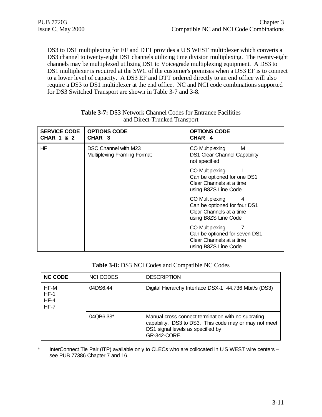DS3 to DS1 multiplexing for EF and DTT provides a U S WEST multiplexer which converts a DS3 channel to twenty-eight DS1 channels utilizing time division multiplexing. The twenty-eight channels may be multiplexed utilizing DS1 to Voicegrade multiplexing equipment. A DS3 to DS1 multiplexer is required at the SWC of the customer's premises when a DS3 EF is to connect to a lower level of capacity. A DS3 EF and DTT ordered directly to an end office will also require a DS3 to DS1 multiplexer at the end office. NC and NCI code combinations supported for DS3 Switched Transport are shown in Table 3-7 and 3-8.

| <b>SERVICE CODE</b><br><b>CHAR 1 &amp; 2</b> | <b>OPTIONS CODE</b><br>CHAR <sub>3</sub>                   | <b>OPTIONS CODE</b><br>CHAR <sub>4</sub>                                                                  |
|----------------------------------------------|------------------------------------------------------------|-----------------------------------------------------------------------------------------------------------|
| ΗF                                           | DSC Channel with M23<br><b>Multiplexing Framing Format</b> | M<br>CO Multiplexing<br><b>DS1 Clear Channel Capability</b><br>not specified                              |
|                                              |                                                            | CO Multiplexing<br>1<br>Can be optioned for one DS1<br>Clear Channels at a time<br>using B8ZS Line Code   |
|                                              |                                                            | CO Multiplexing<br>Can be optioned for four DS1<br>Clear Channels at a time<br>using B8ZS Line Code       |
|                                              |                                                            | CO Multiplexing<br>7<br>Can be optioned for seven DS1<br>Clear Channels at a time<br>using B8ZS Line Code |

#### **Table 3-7:** DS3 Network Channel Codes for Entrance Facilities and Direct-Trunked Transport

#### **Table 3-8:** DS3 NCI Codes and Compatible NC Codes

| <b>NC CODE</b>                     | <b>NCI CODES</b> | <b>DESCRIPTION</b>                                                                                                                                               |
|------------------------------------|------------------|------------------------------------------------------------------------------------------------------------------------------------------------------------------|
| HF-M<br>$HF-1$<br>$HF-4$<br>$HF-7$ | 04DS6.44         | Digital Hierarchy Interface DSX-1 44.736 Mbit/s (DS3)                                                                                                            |
|                                    | 04QB6.33*        | Manual cross-connect termination with no subrating<br>capability. DS3 to DS3. This code may or may not meet<br>DS1 signal levels as specified by<br>GR-342-CORE. |

\* InterConnect Tie Pair (ITP) available only to CLECs who are collocated in U S WEST wire centers – see PUB 77386 Chapter 7 and 16.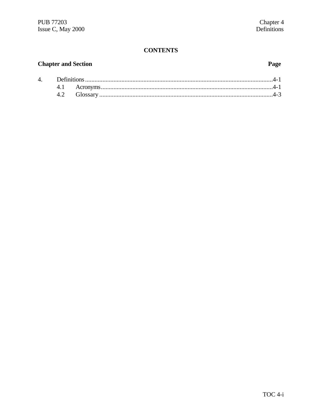#### **CONTENTS**

### **Chapter and Section**

#### Page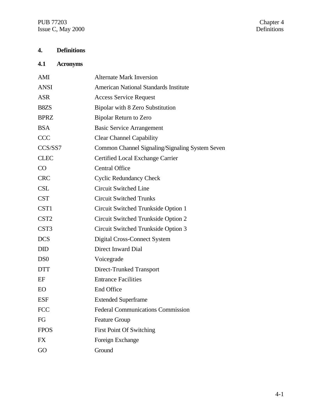PUB 77203 Chapter 4 Issue C, May 2000 Definitions

#### **4. Definitions**

#### **4.1 Acronyms**

| AMI              | <b>Alternate Mark Inversion</b>                 |  |
|------------------|-------------------------------------------------|--|
| <b>ANSI</b>      | <b>American National Standards Institute</b>    |  |
| ASR              | <b>Access Service Request</b>                   |  |
| B8ZS             | Bipolar with 8 Zero Substitution                |  |
| <b>BPRZ</b>      | <b>Bipolar Return to Zero</b>                   |  |
| <b>BSA</b>       | <b>Basic Service Arrangement</b>                |  |
| <b>CCC</b>       | <b>Clear Channel Capability</b>                 |  |
| CCS/SS7          | Common Channel Signaling/Signaling System Seven |  |
| <b>CLEC</b>      | <b>Certified Local Exchange Carrier</b>         |  |
| CO               | <b>Central Office</b>                           |  |
| <b>CRC</b>       | <b>Cyclic Redundancy Check</b>                  |  |
| <b>CSL</b>       | <b>Circuit Switched Line</b>                    |  |
| <b>CST</b>       | <b>Circuit Switched Trunks</b>                  |  |
| CST1             | Circuit Switched Trunkside Option 1             |  |
| CST <sub>2</sub> | Circuit Switched Trunkside Option 2             |  |
| CST <sub>3</sub> | Circuit Switched Trunkside Option 3             |  |
| <b>DCS</b>       | Digital Cross-Connect System                    |  |
| <b>DID</b>       | Direct Inward Dial                              |  |
| D <sub>S0</sub>  | Voicegrade                                      |  |
| <b>DTT</b>       | Direct-Trunked Transport                        |  |
| EF               | <b>Entrance Facilities</b>                      |  |
| EO               | End Office                                      |  |
| <b>ESF</b>       | <b>Extended Superframe</b>                      |  |
| <b>FCC</b>       | <b>Federal Communications Commission</b>        |  |
| FG               | <b>Feature Group</b>                            |  |
| <b>FPOS</b>      | <b>First Point Of Switching</b>                 |  |
| <b>FX</b>        | Foreign Exchange                                |  |
| GO               | Ground                                          |  |
|                  |                                                 |  |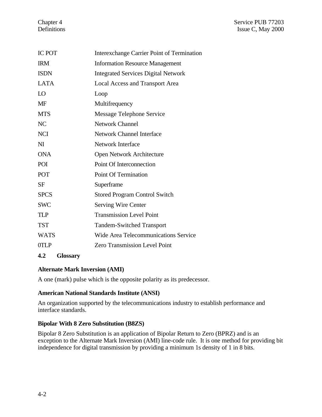| <b>IC POT</b> | Interexchange Carrier Point of Termination  |
|---------------|---------------------------------------------|
| <b>IRM</b>    | <b>Information Resource Management</b>      |
| <b>ISDN</b>   | <b>Integrated Services Digital Network</b>  |
| <b>LATA</b>   | <b>Local Access and Transport Area</b>      |
| LO            | Loop                                        |
| MF            | Multifrequency                              |
| <b>MTS</b>    | Message Telephone Service                   |
| NC            | <b>Network Channel</b>                      |
| <b>NCI</b>    | <b>Network Channel Interface</b>            |
| NI            | <b>Network Interface</b>                    |
| <b>ONA</b>    | Open Network Architecture                   |
| POI           | Point Of Interconnection                    |
| POT           | Point Of Termination                        |
| <b>SF</b>     | Superframe                                  |
| <b>SPCS</b>   | <b>Stored Program Control Switch</b>        |
| <b>SWC</b>    | <b>Serving Wire Center</b>                  |
| <b>TLP</b>    | <b>Transmission Level Point</b>             |
| <b>TST</b>    | <b>Tandem-Switched Transport</b>            |
| <b>WATS</b>   | <b>Wide Area Telecommunications Service</b> |
| 0TLP          | <b>Zero Transmission Level Point</b>        |
|               |                                             |

#### **4.2 Glossary**

#### **Alternate Mark Inversion (AMI)**

A one (mark) pulse which is the opposite polarity as its predecessor.

#### **American National Standards Institute (ANSI)**

An organization supported by the telecommunications industry to establish performance and interface standards.

#### **Bipolar With 8 Zero Substitution (B8ZS)**

Bipolar 8 Zero Substitution is an application of Bipolar Return to Zero (BPRZ) and is an exception to the Alternate Mark Inversion (AMI) line-code rule. It is one method for providing bit independence for digital transmission by providing a minimum 1s density of 1 in 8 bits.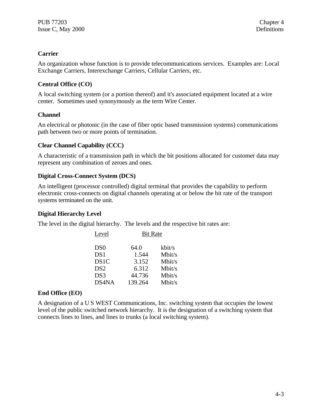#### **Carrier**

An organization whose function is to provide telecommunications services. Examples are: Local Exchange Carriers, Interexchange Carriers, Cellular Carriers, etc.

#### **Central Office (CO)**

A local switching system (or a portion thereof) and it's associated equipment located at a wire center. Sometimes used synonymously as the term Wire Center.

#### **Channel**

An electrical or photonic (in the case of fiber optic based transmission systems) communications path between two or more points of termination.

#### **Clear Channel Capability (CCC)**

A characteristic of a transmission path in which the bit positions allocated for customer data may represent any combination of zeroes and ones.

#### **Digital Cross-Connect System (DCS)**

An intelligent (processor controlled) digital terminal that provides the capability to perform electronic cross-connects on digital channels operating at or below the bit rate of the transport systems terminated on the unit.

#### **Digital Hierarchy Level**

The level in the digital hierarchy. The levels and the respective bit rates are:

| Level           | <b>Bit Rate</b> |        |  |
|-----------------|-----------------|--------|--|
| DS0             | 64.0            | kbit/s |  |
| DS1             | 1.544           | Mbit/s |  |
| DS1C            | 3.152           | Mbit/s |  |
| DS <sub>2</sub> | 6.312           | Mbit/s |  |
| DS3             | 44.736          | Mbit/s |  |
| DS4NA           | 139.264         | Mbit/s |  |

#### **End Office (EO)**

A designation of a U S WEST Communications, Inc. switching system that occupies the lowest level of the public switched network hierarchy. It is the designation of a switching system that connects lines to lines, and lines to trunks (a local switching system).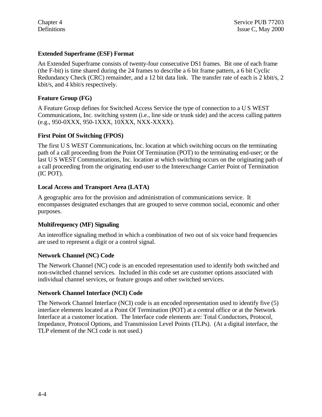#### **Extended Superframe (ESF) Format**

An Extended Superframe consists of twenty-four consecutive DS1 frames. Bit one of each frame (the F-bit) is time shared during the 24 frames to describe a 6 bit frame pattern, a 6 bit Cyclic Redundancy Check (CRC) remainder, and a 12 bit data link. The transfer rate of each is 2 kbit/s, 2 kbit/s, and 4 kbit/s respectively.

#### **Feature Group (FG)**

A Feature Group defines for Switched Access Service the type of connection to a U S WEST Communications, Inc. switching system (i.e., line side or trunk side) and the access calling pattern (e.g., 950-0XXX, 950-1XXX, 10XXX, NXX-XXXX).

#### **First Point Of Switching (FPOS)**

The first U S WEST Communications, Inc. location at which switching occurs on the terminating path of a call proceeding from the Point Of Termination (POT) to the terminating end-user; or the last U S WEST Communications, Inc. location at which switching occurs on the originating path of a call proceeding from the originating end-user to the Interexchange Carrier Point of Termination (IC POT).

#### **Local Access and Transport Area (LATA)**

A geographic area for the provision and administration of communications service. It encompasses designated exchanges that are grouped to serve common social, economic and other purposes.

#### **Multifrequency (MF) Signaling**

An interoffice signaling method in which a combination of two out of six voice band frequencies are used to represent a digit or a control signal.

#### **Network Channel (NC) Code**

The Network Channel (NC) code is an encoded representation used to identify both switched and non-switched channel services. Included in this code set are customer options associated with individual channel services, or feature groups and other switched services.

#### **Network Channel Interface (NCI) Code**

The Network Channel Interface (NCI) code is an encoded representation used to identify five (5) interface elements located at a Point Of Termination (POT) at a central office or at the Network Interface at a customer location. The Interface code elements are: Total Conductors, Protocol, Impedance, Protocol Options, and Transmission Level Points (TLPs). (At a digital interface, the TLP element of the NCI code is not used.)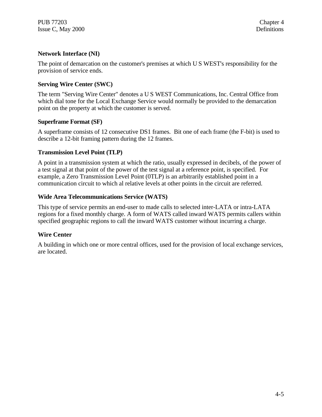#### **Network Interface (NI)**

The point of demarcation on the customer's premises at which U S WEST's responsibility for the provision of service ends.

#### **Serving Wire Center (SWC)**

The term "Serving Wire Center" denotes a U S WEST Communications, Inc. Central Office from which dial tone for the Local Exchange Service would normally be provided to the demarcation point on the property at which the customer is served.

#### **Superframe Format (SF)**

A superframe consists of 12 consecutive DS1 frames. Bit one of each frame (the F-bit) is used to describe a 12-bit framing pattern during the 12 frames.

#### **Transmission Level Point (TLP)**

A point in a transmission system at which the ratio, usually expressed in decibels, of the power of a test signal at that point of the power of the test signal at a reference point, is specified. For example, a Zero Transmission Level Point (0TLP) is an arbitrarily established point in a communication circuit to which al relative levels at other points in the circuit are referred.

#### **Wide Area Telecommunications Service (WATS)**

This type of service permits an end-user to made calls to selected inter-LATA or intra-LATA regions for a fixed monthly charge. A form of WATS called inward WATS permits callers within specified geographic regions to call the inward WATS customer without incurring a charge.

#### **Wire Center**

A building in which one or more central offices, used for the provision of local exchange services, are located.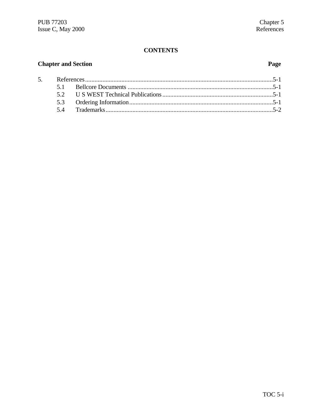#### **CONTENTS**

### **Chapter and Section**

5.

#### Page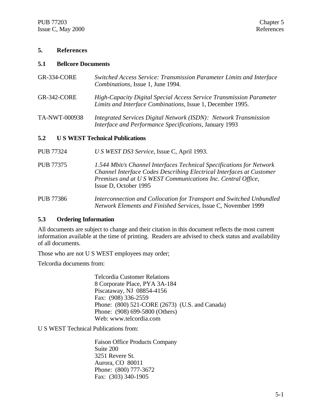#### **5. References**

#### **5.1 Bellcore Documents**

- GR-334-CORE *Switched Access Service: Transmission Parameter Limits and Interface Combinations*, Issue 1, June 1994.
- GR-342-CORE *High-Capacity Digital Special Access Service Transmission Parameter Limits and Interface Combinations*, Issue 1, December 1995.
- TA-NWT-000938 *Integrated Services Digital Network (ISDN): Network Transmission Interface and Performance Specifications*, January 1993

#### **5.2 U S WEST Technical Publications**

PUB 77324 *U S WEST DS3 Service*, Issue C, April 1993.

PUB 77375 *1.544 Mbit/s Channel Interfaces Technical Specifications for Network Channel Interface Codes Describing Electrical Interfaces at Customer Premises and at U S WEST Communications Inc. Central Office,* Issue D, October 1995

PUB 77386 *Interconnection and Collocation for Transport and Switched Unbundled Network Elements and Finished Services*, Issue C, November 1999

#### **5.3 Ordering Information**

All documents are subject to change and their citation in this document reflects the most current information available at the time of printing. Readers are advised to check status and availability of all documents.

Those who are not U S WEST employees may order;

Telcordia documents from:

Telcordia Customer Relations 8 Corporate Place, PYA 3A-184 Piscataway, NJ 08854-4156 Fax: (908) 336-2559 Phone: (800) 521-CORE (2673) (U.S. and Canada) Phone: (908) 699-5800 (Others) Web: www.telcordia.com

U S WEST Technical Publications from:

Faison Office Products Company Suite 200 3251 Revere St. Aurora, CO 80011 Phone: (800) 777-3672 Fax: (303) 340-1905